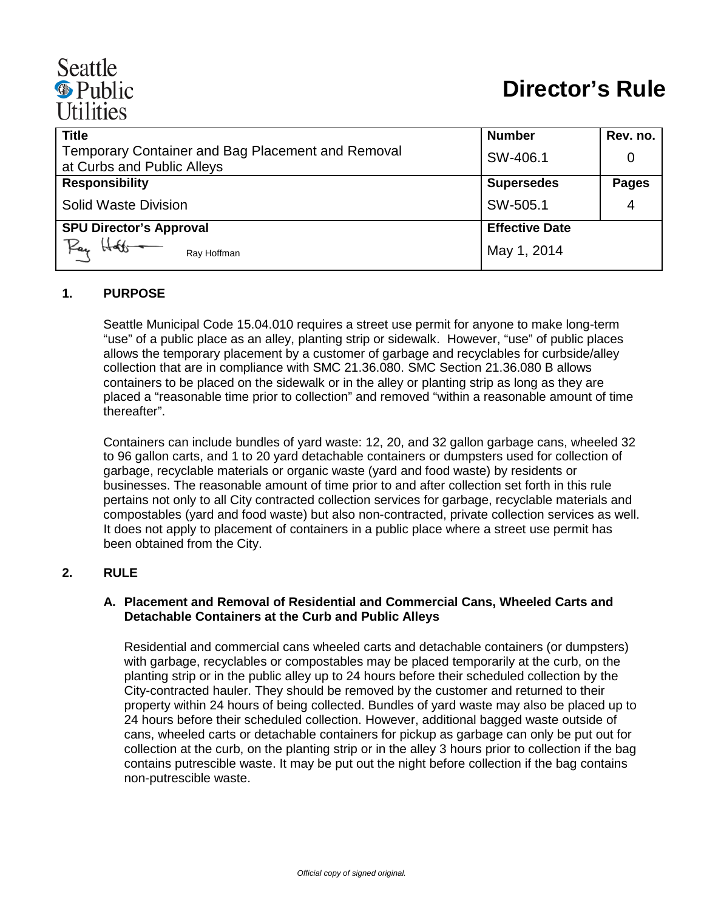# Seattle <sup><sup>®</sup> Public</sup> **Utilities**

| <b>Title</b>                                                                           | <b>Number</b>         | Rev. no.     |
|----------------------------------------------------------------------------------------|-----------------------|--------------|
| <b>Temporary Container and Bag Placement and Removal</b><br>at Curbs and Public Alleys | SW-406.1              |              |
| <b>Responsibility</b>                                                                  | <b>Supersedes</b>     | <b>Pages</b> |
| Solid Waste Division                                                                   | SW-505.1              | 4            |
| <b>SPU Director's Approval</b>                                                         | <b>Effective Date</b> |              |
| Pay<br>Ray Hoffman                                                                     | May 1, 2014           |              |

# **1. PURPOSE**

Seattle Municipal Code 15.04.010 requires a street use permit for anyone to make long-term "use" of a public place as an alley, planting strip or sidewalk. However, "use" of public places allows the temporary placement by a customer of garbage and recyclables for curbside/alley collection that are in compliance with SMC 21.36.080. SMC Section 21.36.080 B allows containers to be placed on the sidewalk or in the alley or planting strip as long as they are placed a "reasonable time prior to collection" and removed "within a reasonable amount of time thereafter".

Containers can include bundles of yard waste: 12, 20, and 32 gallon garbage cans, wheeled 32 to 96 gallon carts, and 1 to 20 yard detachable containers or dumpsters used for collection of garbage, recyclable materials or organic waste (yard and food waste) by residents or businesses. The reasonable amount of time prior to and after collection set forth in this rule pertains not only to all City contracted collection services for garbage, recyclable materials and compostables (yard and food waste) but also non-contracted, private collection services as well. It does not apply to placement of containers in a public place where a street use permit has been obtained from the City.

#### **2. RULE**

#### **A. Placement and Removal of Residential and Commercial Cans, Wheeled Carts and Detachable Containers at the Curb and Public Alleys**

Residential and commercial cans wheeled carts and detachable containers (or dumpsters) with garbage, recyclables or compostables may be placed temporarily at the curb, on the planting strip or in the public alley up to 24 hours before their scheduled collection by the City-contracted hauler. They should be removed by the customer and returned to their property within 24 hours of being collected. Bundles of yard waste may also be placed up to 24 hours before their scheduled collection. However, additional bagged waste outside of cans, wheeled carts or detachable containers for pickup as garbage can only be put out for collection at the curb, on the planting strip or in the alley 3 hours prior to collection if the bag contains putrescible waste. It may be put out the night before collection if the bag contains non-putrescible waste.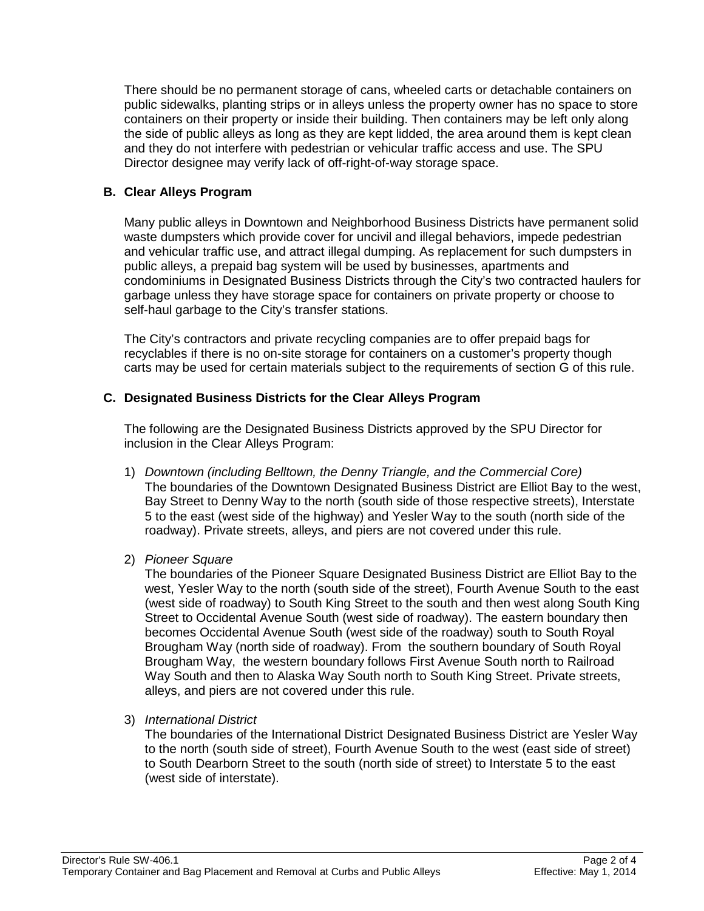There should be no permanent storage of cans, wheeled carts or detachable containers on public sidewalks, planting strips or in alleys unless the property owner has no space to store containers on their property or inside their building. Then containers may be left only along the side of public alleys as long as they are kept lidded, the area around them is kept clean and they do not interfere with pedestrian or vehicular traffic access and use. The SPU Director designee may verify lack of off-right-of-way storage space.

# **B. Clear Alleys Program**

Many public alleys in Downtown and Neighborhood Business Districts have permanent solid waste dumpsters which provide cover for uncivil and illegal behaviors, impede pedestrian and vehicular traffic use, and attract illegal dumping. As replacement for such dumpsters in public alleys, a prepaid bag system will be used by businesses, apartments and condominiums in Designated Business Districts through the City's two contracted haulers for garbage unless they have storage space for containers on private property or choose to self-haul garbage to the City's transfer stations.

The City's contractors and private recycling companies are to offer prepaid bags for recyclables if there is no on-site storage for containers on a customer's property though carts may be used for certain materials subject to the requirements of section G of this rule.

# **C. Designated Business Districts for the Clear Alleys Program**

The following are the Designated Business Districts approved by the SPU Director for inclusion in the Clear Alleys Program:

- 1) *Downtown (including Belltown, the Denny Triangle, and the Commercial Core)* The boundaries of the Downtown Designated Business District are Elliot Bay to the west, Bay Street to Denny Way to the north (south side of those respective streets), Interstate 5 to the east (west side of the highway) and Yesler Way to the south (north side of the roadway). Private streets, alleys, and piers are not covered under this rule.
- 2) *Pioneer Square*

The boundaries of the Pioneer Square Designated Business District are Elliot Bay to the west, Yesler Way to the north (south side of the street), Fourth Avenue South to the east (west side of roadway) to South King Street to the south and then west along South King Street to Occidental Avenue South (west side of roadway). The eastern boundary then becomes Occidental Avenue South (west side of the roadway) south to South Royal Brougham Way (north side of roadway). From the southern boundary of South Royal Brougham Way, the western boundary follows First Avenue South north to Railroad Way South and then to Alaska Way South north to South King Street. Private streets, alleys, and piers are not covered under this rule.

3) *International District*

The boundaries of the International District Designated Business District are Yesler Way to the north (south side of street), Fourth Avenue South to the west (east side of street) to South Dearborn Street to the south (north side of street) to Interstate 5 to the east (west side of interstate).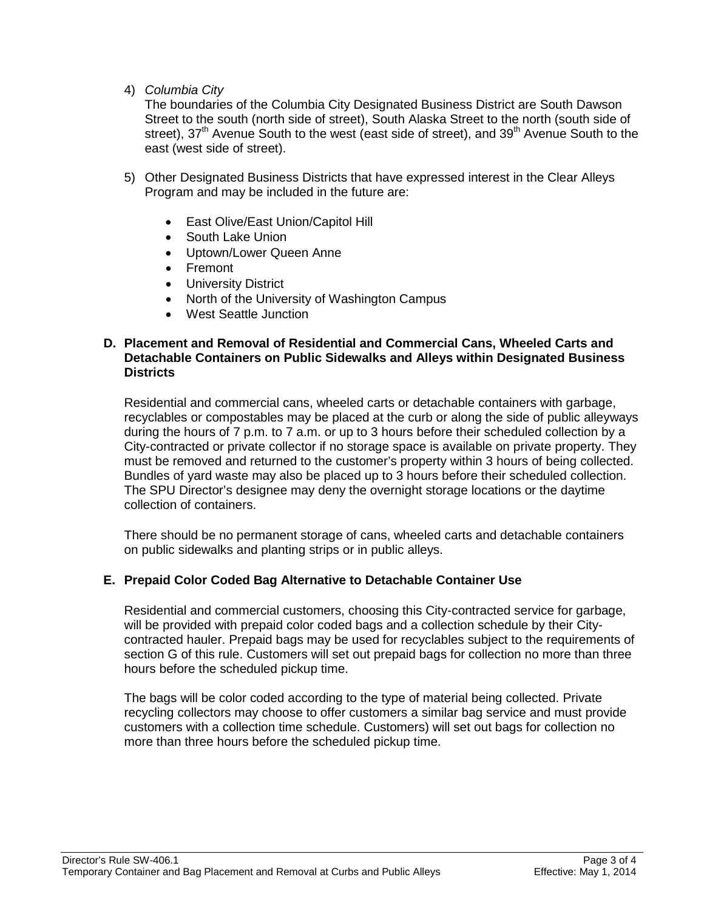4) *Columbia City*

The boundaries of the Columbia City Designated Business District are South Dawson Street to the south (north side of street), South Alaska Street to the north (south side of street), 37<sup>th</sup> Avenue South to the west (east side of street), and 39<sup>th</sup> Avenue South to the east (west side of street).

- 5) Other Designated Business Districts that have expressed interest in the Clear Alleys Program and may be included in the future are:
	- East Olive/East Union/Capitol Hill
	- South Lake Union
	- Uptown/Lower Queen Anne
	- Fremont
	- University District
	- North of the University of Washington Campus
	- West Seattle Junction

#### **D. Placement and Removal of Residential and Commercial Cans, Wheeled Carts and Detachable Containers on Public Sidewalks and Alleys within Designated Business Districts**

Residential and commercial cans, wheeled carts or detachable containers with garbage, recyclables or compostables may be placed at the curb or along the side of public alleyways during the hours of 7 p.m. to 7 a.m. or up to 3 hours before their scheduled collection by a City-contracted or private collector if no storage space is available on private property. They must be removed and returned to the customer's property within 3 hours of being collected. Bundles of yard waste may also be placed up to 3 hours before their scheduled collection. The SPU Director's designee may deny the overnight storage locations or the daytime collection of containers.

There should be no permanent storage of cans, wheeled carts and detachable containers on public sidewalks and planting strips or in public alleys.

# **E. Prepaid Color Coded Bag Alternative to Detachable Container Use**

Residential and commercial customers, choosing this City-contracted service for garbage, will be provided with prepaid color coded bags and a collection schedule by their Citycontracted hauler. Prepaid bags may be used for recyclables subject to the requirements of section G of this rule. Customers will set out prepaid bags for collection no more than three hours before the scheduled pickup time.

The bags will be color coded according to the type of material being collected. Private recycling collectors may choose to offer customers a similar bag service and must provide customers with a collection time schedule. Customers) will set out bags for collection no more than three hours before the scheduled pickup time.